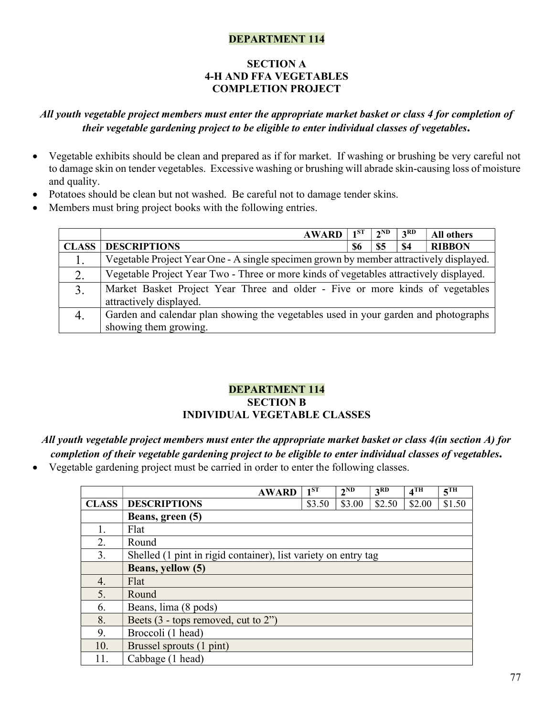#### DEPARTMENT 114

#### SECTION A 4-H AND FFA VEGETABLES COMPLETION PROJECT

# All youth vegetable project members must enter the appropriate market basket or class 4 for completion of their vegetable gardening project to be eligible to enter individual classes of vegetables.

- Vegetable exhibits should be clean and prepared as if for market. If washing or brushing be very careful not to damage skin on tender vegetables. Excessive washing or brushing will abrade skin-causing loss of moisture and quality.
- Potatoes should be clean but not washed. Be careful not to damage tender skins.
- Members must bring project books with the following entries.

|              | <b>AWARD</b>                                                                           | 1 ST | $2^{ND}$  | 3 <sup>RD</sup> | <b>All others</b> |
|--------------|----------------------------------------------------------------------------------------|------|-----------|-----------------|-------------------|
| <b>CLASS</b> | <b>DESCRIPTIONS</b>                                                                    | 86   | <b>S5</b> | <b>\$4</b>      | <b>RIBBON</b>     |
| 1.           | Vegetable Project Year One - A single specimen grown by member attractively displayed. |      |           |                 |                   |
| 2.           | Vegetable Project Year Two - Three or more kinds of vegetables attractively displayed. |      |           |                 |                   |
| 3.           | Market Basket Project Year Three and older - Five or more kinds of vegetables          |      |           |                 |                   |
|              | attractively displayed.                                                                |      |           |                 |                   |
|              | Garden and calendar plan showing the vegetables used in your garden and photographs    |      |           |                 |                   |
|              | showing them growing.                                                                  |      |           |                 |                   |

### DEPARTMENT 114 SECTION B INDIVIDUAL VEGETABLE CLASSES

All youth vegetable project members must enter the appropriate market basket or class 4(in section A) for completion of their vegetable gardening project to be eligible to enter individual classes of vegetables.

Vegetable gardening project must be carried in order to enter the following classes.

|              | <b>AWARD</b>                                                   | $1^{ST}$ | $2^{ND}$ | 3 <sup>RD</sup> | $4$ TH | 5 <sup>TH</sup> |
|--------------|----------------------------------------------------------------|----------|----------|-----------------|--------|-----------------|
| <b>CLASS</b> | <b>DESCRIPTIONS</b>                                            | \$3.50   | \$3.00   | \$2.50          | \$2.00 | \$1.50          |
|              | Beans, green (5)                                               |          |          |                 |        |                 |
|              | Flat                                                           |          |          |                 |        |                 |
| 2.           | Round                                                          |          |          |                 |        |                 |
| 3.           | Shelled (1 pint in rigid container), list variety on entry tag |          |          |                 |        |                 |
|              | Beans, yellow (5)                                              |          |          |                 |        |                 |
| 4.           | Flat                                                           |          |          |                 |        |                 |
| 5.           | Round                                                          |          |          |                 |        |                 |
| 6.           | Beans, lima (8 pods)                                           |          |          |                 |        |                 |
| 8.           | Beets $(3 - \text{tops removed}, \text{cut to } 2)$            |          |          |                 |        |                 |
| 9.           | Broccoli (1 head)                                              |          |          |                 |        |                 |
| 10.          | Brussel sprouts (1 pint)                                       |          |          |                 |        |                 |
| 11.          | Cabbage (1 head)                                               |          |          |                 |        |                 |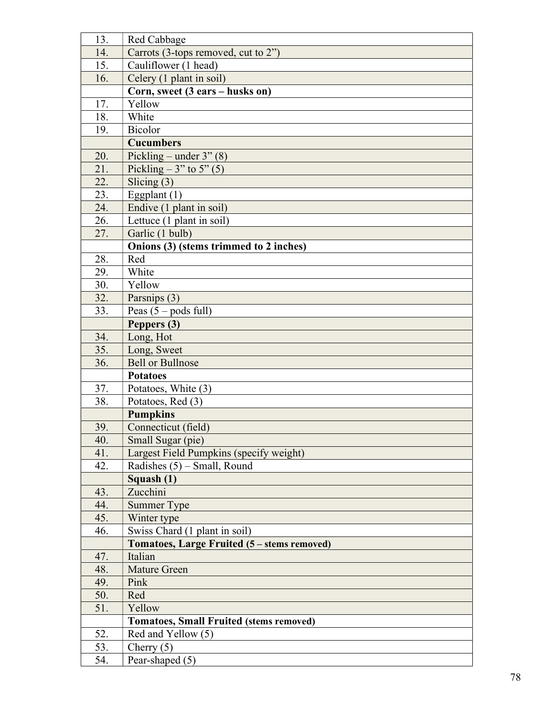| 13. | Red Cabbage                                    |
|-----|------------------------------------------------|
| 14. | Carrots (3-tops removed, cut to 2")            |
| 15. | Cauliflower (1 head)                           |
| 16. | Celery (1 plant in soil)                       |
|     | Corn, sweet (3 ears - husks on)                |
| 17. | Yellow                                         |
| 18. | White                                          |
| 19. | <b>Bicolor</b>                                 |
|     | <b>Cucumbers</b>                               |
| 20. | Pickling – under $3"$ (8)                      |
| 21. | Pickling – $3$ " to $5$ " (5)                  |
| 22. | Slicing $(3)$                                  |
| 23. | Eggplant $(1)$                                 |
| 24. | Endive (1 plant in soil)                       |
| 26. | Lettuce (1 plant in soil)                      |
| 27. | Garlic (1 bulb)                                |
|     | Onions (3) (stems trimmed to 2 inches)         |
| 28. | Red                                            |
| 29. | White                                          |
| 30. | Yellow                                         |
| 32. | Parsnips (3)                                   |
| 33. | Peas $(5 -$ pods full)                         |
|     | Peppers (3)                                    |
| 34. | Long, Hot                                      |
| 35. | Long, Sweet                                    |
| 36. | <b>Bell or Bullnose</b>                        |
|     | <b>Potatoes</b>                                |
| 37. | Potatoes, White (3)                            |
| 38. | Potatoes, Red (3)                              |
|     | <b>Pumpkins</b>                                |
| 39. | Connecticut (field)                            |
| 40. | Small Sugar (pie)                              |
| 41. | Largest Field Pumpkins (specify weight)        |
| 42. | Radishes $(5)$ – Small, Round                  |
|     | Squash (1)                                     |
| 43. | Zucchini                                       |
| 44. | Summer Type                                    |
| 45. | Winter type                                    |
| 46. | Swiss Chard (1 plant in soil)                  |
|     | Tomatoes, Large Fruited (5 – stems removed)    |
| 47. | Italian                                        |
| 48. | <b>Mature Green</b>                            |
| 49. | Pink                                           |
| 50. | Red                                            |
| 51. | Yellow                                         |
|     | <b>Tomatoes, Small Fruited (stems removed)</b> |
| 52. | Red and Yellow (5)                             |
| 53. | Cherry $(5)$                                   |
| 54. | Pear-shaped (5)                                |